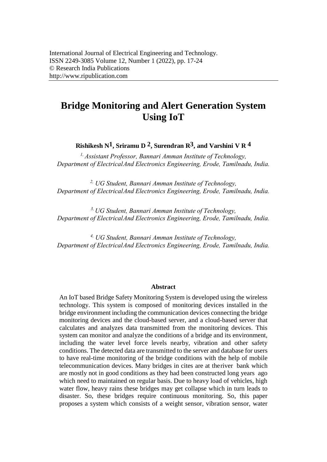# **Bridge Monitoring and Alert Generation System Using IoT**

**Rishikesh N1, Sriramu D 2, Surendran R3, and Varshini V R 4**

*1, Assistant Professor, Bannari Amman Institute of Technology, Department of Electrical And Electronics Engineering, Erode, Tamilnadu, India.* 

*2, UG Student, Bannari Amman Institute of Technology, Department of Electrical [And Electronics Engineering, E](mailto:sriramu.ee17@bitsathy.ac.in)rode, Tamilnadu, India.* 

*3, UG Student, Bannari Amman Institute of Technology, Department of Electrical And Electronics Engineering, Erode, Tamilnadu, India.* 

*4, UG Student, Bannari Amman Institute of Technology, Department of Electrical And Electronics Engineering, Erode, Tamilnadu, India.* 

#### **Abstract**

An IoT based Bridge Safety Monitoring System is developed using the wireless technology. This system is composed of monitoring devices installed in the bridge environment including the communication devices connecting the bridge monitoring devices and the cloud-based server, and a cloud-based server that calculates and analyzes data transmitted from the monitoring devices. This system can monitor and analyze the conditions of a bridge and its environment, including the water level force levels nearby, vibration and other safety conditions. The detected data are transmitted to the server and database for users to have real-time monitoring of the bridge conditions with the help of mobile telecommunication devices. Many bridges in cites are at the river bank which are mostly not in good conditions as they had been constructed long years ago which need to maintained on regular basis. Due to heavy load of vehicles, high water flow, heavy rains these bridges may get collapse which in turn leads to disaster. So, these bridges require continuous monitoring. So, this paper proposes a system which consists of a weight sensor, vibration sensor, water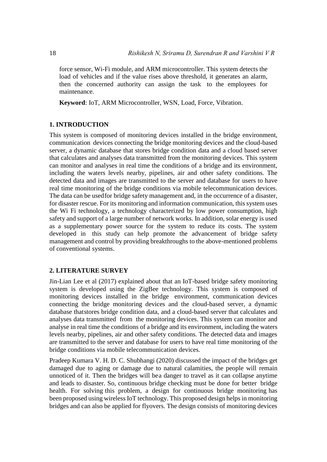force sensor, Wi-Fi module, and ARM microcontroller. This system detects the load of vehicles and if the value rises above threshold, it generates an alarm, then the concerned authority can assign the task to the employees for maintenance.

**Keyword**: IoT, ARM Microcontroller, WSN, Load, Force, Vibration.

# **1. INTRODUCTION**

This system is composed of monitoring devices installed in the bridge environment, communication devices connecting the bridge monitoring devices and the cloud-based server, a dynamic database that stores bridge condition data and a cloud based server that calculates and analyses data transmitted from the monitoring devices. This system can monitor and analyses in real time the conditions of a bridge and its environment, including the waters levels nearby, pipelines, air and other safety conditions. The detected data and images are transmitted to the server and database for users to have real time monitoring of the bridge conditions via mobile telecommunication devices. The data can be used for bridge safety management and, in the occurrence of a disaster, for disaster rescue. For its monitoring and information communication, this system uses the Wi Fi technology, a technology characterized by low power consumption, high safety and support of a large number of network works. In addition, solar energy is used as a supplementary power source for the system to reduce its costs. The system developed in this study can help promote the advancement of bridge safety management and control by providing breakthroughs to the above-mentioned problems of conventional systems.

# **2. LITERATURE SURVEY**

Jin-Lian Lee et al (2017) explained about that an IoT-based bridge safety monitoring system is developed using the ZigBee technology. This system is composed of monitoring devices installed in the bridge environment, communication devices connecting the bridge monitoring devices and the cloud-based server, a dynamic database that stores bridge condition data, and a cloud-based server that calculates and analyses data transmitted from the monitoring devices. This system can monitor and analyse in real time the conditions of a bridge and its environment, including the waters levels nearby, pipelines, air and other safety conditions. The detected data and images are transmitted to the server and database for users to have real time monitoring of the bridge conditions via mobile telecommunication devices.

Pradeep Kumara V. H. D. C. Shubhangi (2020) discussed the impact of the bridges get damaged due to aging or damage due to natural calamities, the people will remain unnoticed of it. Then the bridges will be a danger to travel as it can collapse anytime and leads to disaster. So, continuous bridge checking must be done for better bridge health. For solving this problem, a design for continuous bridge monitoring has been proposed using wireless IoT technology. This proposed design helps in monitoring bridges and can also be applied for flyovers. The design consists of monitoring devices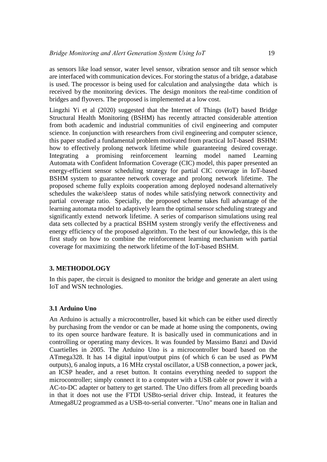as sensors like load sensor, water level sensor, vibration sensor and tilt sensor which are interfaced with communication devices. For storing the status of a bridge, a database is used. The processor is being used for calculation and analysing the data which is received by the monitoring devices. The design monitors the real-time condition of bridges and flyovers. The proposed is implemented at a low cost.

Lingzhi Yi et al (2020) suggested that the Internet of Things (IoT) based Bridge Structural Health Monitoring (BSHM) has recently attracted considerable attention from both academic and industrial communities of civil engineering and computer science. In conjunction with researchers from civil engineering and computer science, this paper studied a fundamental problem motivated from practical IoT-based BSHM: how to effectively prolong network lifetime while guaranteeing desired coverage. Integrating a promising reinforcement learning model named Learning Automata with Confident Information Coverage (CIC) model, this paper presented an energy-efficient sensor scheduling strategy for partial CIC coverage in IoT-based BSHM system to guarantee network coverage and prolong network lifetime. The proposed scheme fully exploits cooperation among deployed nodes and alternatively schedules the wake/sleep status of nodes while satisfying network connectivity and partial coverage ratio. Specially, the proposed scheme takes full advantage of the learning automata model to adaptively learn the optimal sensor scheduling strategy and significantly extend network lifetime. A series of comparison simulations using real data sets collected by a practical BSHM system strongly verify the effectiveness and energy efficiency of the proposed algorithm. To the best of our knowledge, this is the first study on how to combine the reinforcement learning mechanism with partial coverage for maximizing the network lifetime of the IoT-based BSHM.

# **3. METHODOLOGY**

In this paper, the circuit is designed to monitor the bridge and generate an alert using IoT and WSN technologies.

#### **3.1 Arduino Uno**

An Arduino is actually a microcontroller, based kit which can be either used directly by purchasing from the vendor or can be made at home using the components, owing to its open source hardware feature. It is basically used in communications and in controlling or operating many devices. It was founded by Massimo Banzi and David Cuartielles in 2005. The Arduino Uno is a microcontroller board based on the ATmega328. It has 14 digital input/output pins (of which 6 can be used as PWM outputs), 6 analog inputs, a 16 MHz crystal oscillator, a USB connection, a power jack, an ICSP header, and a reset button. It contains everything needed to support the microcontroller; simply connect it to a computer with a USB cable or power it with a AC-to-DC adapter or battery to get started. The Uno differs from all preceding boards in that it does not use the FTDI USBto-serial driver chip. Instead, it features the Atmega8U2 programmed as a USB-to-serial converter. "Uno" means one in Italian and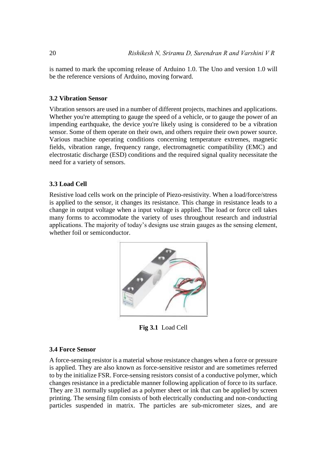is named to mark the upcoming release of Arduino 1.0. The Uno and version 1.0 will be the reference versions of Arduino, moving forward.

#### **3.2 Vibration Sensor**

Vibration sensors are used in a number of different projects, machines and applications. Whether you're attempting to gauge the speed of a vehicle, or to gauge the power of an impending earthquake, the device you're likely using is considered to be a vibration sensor. Some of them operate on their own, and others require their own power source. Various machine operating conditions concerning temperature extremes, magnetic fields, vibration range, frequency range, electromagnetic compatibility (EMC) and electrostatic discharge (ESD) conditions and the required signal quality necessitate the need for a variety of sensors.

# **3.3 Load Cell**

Resistive load cells work on the principle of Piezo-resistivity. When a load/force/stress is applied to the sensor, it changes its resistance. This change in resistance leads to a change in output voltage when a input voltage is applied. The load or force cell takes many forms to accommodate the variety of uses throughout research and industrial applications. The majority of today's designs use strain gauges as the sensing element, whether foil or semiconductor.



**Fig 3.1** Load Cell

#### **3.4 Force Sensor**

A force-sensing resistor is a material whose resistance changes when a force or pressure is applied. They are also known as force-sensitive resistor and are sometimes referred to by the initialize FSR. Force-sensing resistors consist of a conductive polymer, which changes resistance in a predictable manner following application of force to its surface. They are 31 normally supplied as a polymer sheet or ink that can be applied by screen printing. The sensing film consists of both electrically conducting and non-conducting particles suspended in matrix. The particles are sub-micrometer sizes, and are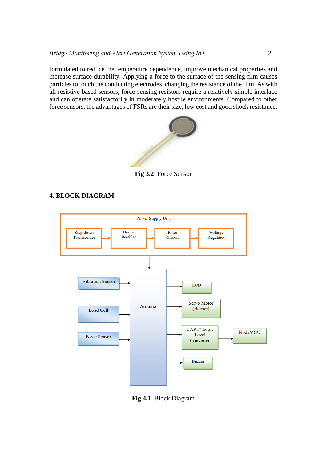formulated to reduce the temperature dependence, improve mechanical properties and increase surface durability. Applying a force to the surface of the sensing film causes particles to touch the conducting electrodes, changing the resistance of the film. As with all resistive based sensors, force-sensing resistors require a relatively simple interface and can operate satisfactorily in moderately hostile environments. Compared to other force sensors, the advantages of FSRs are their size, low cost and good shock resistance.



**Fig 3.2** Force Sensor

# **4. BLOCK DIAGRAM**



**Fig 4.1** Block Diagram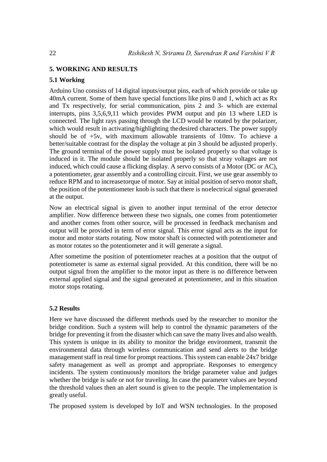# **5. WORKING AND RESULTS**

# **5.1 Working**

Arduino Uno consists of 14 digital inputs/output pins, each of which provide or take up 40mA current. Some of them have special functions like pins 0 and 1, which act as Rx and Tx respectively, for serial communication, pins 2 and 3- which are external interrupts, pins 3,5,6,9,11 which provides PWM output and pin 13 where LED is connected. The light rays passing through the LCD would be rotated by the polarizer, which would result in activating/highlighting the desired characters. The power supply should be of +5v, with maximum allowable transients of 10mv. To achieve a better/suitable contrast for the display the voltage at pin 3 should be adjusted properly. The ground terminal of the power supply must be isolated properly so that voltage is induced in it. The module should be isolated properly so that stray voltages are not induced, which could cause a flicking display. A servo consists of a Motor (DC or AC), a potentiometer, gear assembly and a controlling circuit. First, we use gear assembly to reduce RPM and to increase torque of motor. Say at initial position of servo motor shaft, the position of the potentiometer knob is such that there is no electrical signal generated at the output.

Now an electrical signal is given to another input terminal of the error detector amplifier. Now difference between these two signals, one comes from potentiometer and another comes from other source, will be processed in feedback mechanism and output will be provided in term of error signal. This error signal acts as the input for motor and motor starts rotating. Now motor shaft is connected with potentiometer and as motor rotates so the potentiometer and it will generate a signal.

After sometime the position of potentiometer reaches at a position that the output of potentiometer is same as external signal provided. At this condition, there will be no output signal from the amplifier to the motor input as there is no difference between external applied signal and the signal generated at potentiometer, and in this situation motor stops rotating.

# **5.2 Results**

Here we have discussed the different methods used by the researcher to monitor the bridge condition. Such a system will help to control the dynamic parameters of the bridge for preventing it from the disaster which can save the many lives and also wealth. This system is unique in its ability to monitor the bridge environment, transmit the environmental data through wireless communication and send alerts to the bridge management staff in real time for prompt reactions. This system can enable 24x7 bridge safety management as well as prompt and appropriate. Responses to emergency incidents. The system continuously monitors the bridge parameter value and judges whether the bridge is safe or not for traveling. In case the parameter values are beyond the threshold values then an alert sound is given to the people. The implementation is greatly useful.

The proposed system is developed by IoT and WSN technologies. In the proposed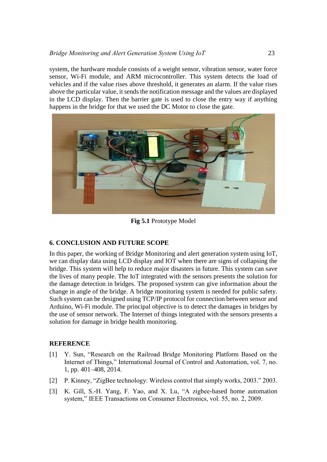system, the hardware module consists of a weight sensor, vibration sensor, water force sensor, Wi-Fi module, and ARM microcontroller. This system detects the load of vehicles and if the value rises above threshold, it generates an alarm. If the value rises above the particular value, it sends the notification message and the values are displayed in the LCD display. Then the barrier gate is used to close the entry way if anything happens in the bridge for that we used the DC Motor to close the gate.



**Fig 5.1** Prototype Model

# **6. CONCLUSION AND FUTURE SCOPE**

In this paper, the working of Bridge Monitoring and alert generation system using IoT, we can display data using LCD display and IOT when there are signs of collapsing the bridge. This system will help to reduce major disasters in future. This system can save the lives of many people. The IoT integrated with the sensors presents the solution for the damage detection in bridges. The proposed system can give information about the change in angle of the bridge. A bridge monitoring system is needed for public safety. Such system can be designed using TCP/IP protocol for connection between sensor and Arduino, Wi-Fi module. The principal objective is to detect the damages in bridges by the use of sensor network. The Internet of things integrated with the sensors presents a solution for damage in bridge health monitoring.

# **REFERENCE**

- [1] Y. Sun, "Research on the Railroad Bridge Monitoring Platform Based on the Internet of Things," International Journal of Control and Automation, vol. 7, no. 1, pp. 401–408, 2014.
- [2] P. Kinney, "ZigBee technology: Wireless control that simply works, 2003." 2003.
- [3] K. Gill, S.-H. Yang, F. Yao, and X. Lu, "A zigbee-based home automation system," IEEE Transactions on Consumer Electronics, vol. 55, no. 2, 2009.